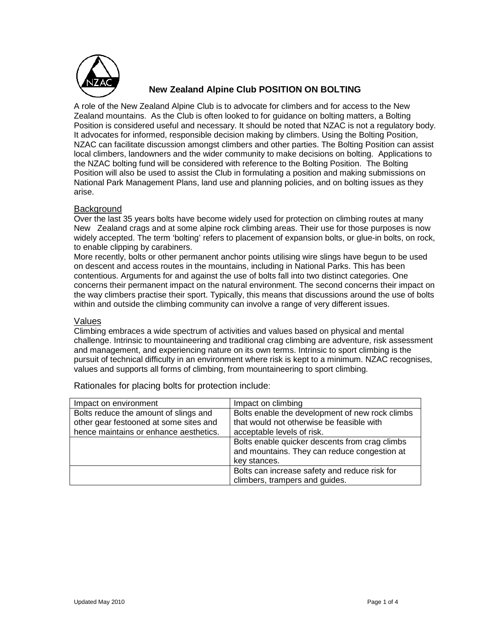

# **New Zealand Alpine Club POSITION ON BOLTING**

A role of the New Zealand Alpine Club is to advocate for climbers and for access to the New Zealand mountains. As the Club is often looked to for guidance on bolting matters, a Bolting Position is considered useful and necessary. It should be noted that NZAC is not a regulatory body. It advocates for informed, responsible decision making by climbers. Using the Bolting Position, NZAC can facilitate discussion amongst climbers and other parties. The Bolting Position can assist local climbers, landowners and the wider community to make decisions on bolting. Applications to the NZAC bolting fund will be considered with reference to the Bolting Position. The Bolting Position will also be used to assist the Club in formulating a position and making submissions on National Park Management Plans, land use and planning policies, and on bolting issues as they arise.

### **Background**

Over the last 35 years bolts have become widely used for protection on climbing routes at many New Zealand crags and at some alpine rock climbing areas. Their use for those purposes is now widely accepted. The term 'bolting' refers to placement of expansion bolts, or glue-in bolts, on rock, to enable clipping by carabiners.

More recently, bolts or other permanent anchor points utilising wire slings have begun to be used on descent and access routes in the mountains, including in National Parks. This has been contentious. Arguments for and against the use of bolts fall into two distinct categories. One concerns their permanent impact on the natural environment. The second concerns their impact on the way climbers practise their sport. Typically, this means that discussions around the use of bolts within and outside the climbing community can involve a range of very different issues.

### Values

Climbing embraces a wide spectrum of activities and values based on physical and mental challenge. Intrinsic to mountaineering and traditional crag climbing are adventure, risk assessment and management, and experiencing nature on its own terms. Intrinsic to sport climbing is the pursuit of technical difficulty in an environment where risk is kept to a minimum. NZAC recognises, values and supports all forms of climbing, from mountaineering to sport climbing.

| Impact on environment                  | Impact on climbing                              |
|----------------------------------------|-------------------------------------------------|
| Bolts reduce the amount of slings and  | Bolts enable the development of new rock climbs |
| other gear festooned at some sites and | that would not otherwise be feasible with       |
| hence maintains or enhance aesthetics. | acceptable levels of risk.                      |
|                                        | Bolts enable quicker descents from crag climbs  |
|                                        | and mountains. They can reduce congestion at    |
|                                        | key stances.                                    |
|                                        | Bolts can increase safety and reduce risk for   |
|                                        | climbers, trampers and guides.                  |

Rationales for placing bolts for protection include: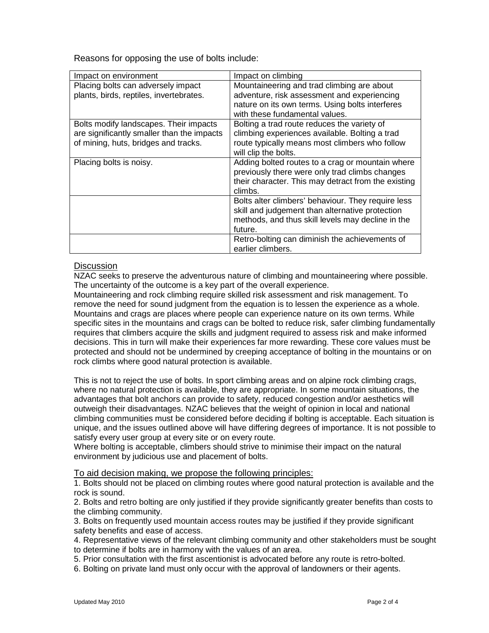Reasons for opposing the use of bolts include:

| Impact on environment                      | Impact on climbing                                  |
|--------------------------------------------|-----------------------------------------------------|
| Placing bolts can adversely impact         | Mountaineering and trad climbing are about          |
| plants, birds, reptiles, invertebrates.    | adventure, risk assessment and experiencing         |
|                                            | nature on its own terms. Using bolts interferes     |
|                                            | with these fundamental values.                      |
| Bolts modify landscapes. Their impacts     | Bolting a trad route reduces the variety of         |
| are significantly smaller than the impacts | climbing experiences available. Bolting a trad      |
| of mining, huts, bridges and tracks.       | route typically means most climbers who follow      |
|                                            | will clip the bolts.                                |
| Placing bolts is noisy.                    | Adding bolted routes to a crag or mountain where    |
|                                            | previously there were only trad climbs changes      |
|                                            | their character. This may detract from the existing |
|                                            | climbs.                                             |
|                                            | Bolts alter climbers' behaviour. They require less  |
|                                            | skill and judgement than alternative protection     |
|                                            | methods, and thus skill levels may decline in the   |
|                                            | future.                                             |
|                                            | Retro-bolting can diminish the achievements of      |
|                                            | earlier climbers.                                   |

## Discussion

NZAC seeks to preserve the adventurous nature of climbing and mountaineering where possible. The uncertainty of the outcome is a key part of the overall experience.

Mountaineering and rock climbing require skilled risk assessment and risk management. To remove the need for sound judgment from the equation is to lessen the experience as a whole. Mountains and crags are places where people can experience nature on its own terms. While specific sites in the mountains and crags can be bolted to reduce risk, safer climbing fundamentally requires that climbers acquire the skills and judgment required to assess risk and make informed decisions. This in turn will make their experiences far more rewarding. These core values must be protected and should not be undermined by creeping acceptance of bolting in the mountains or on rock climbs where good natural protection is available.

This is not to reject the use of bolts. In sport climbing areas and on alpine rock climbing crags, where no natural protection is available, they are appropriate. In some mountain situations, the advantages that bolt anchors can provide to safety, reduced congestion and/or aesthetics will outweigh their disadvantages. NZAC believes that the weight of opinion in local and national climbing communities must be considered before deciding if bolting is acceptable. Each situation is unique, and the issues outlined above will have differing degrees of importance. It is not possible to satisfy every user group at every site or on every route.

Where bolting is acceptable, climbers should strive to minimise their impact on the natural environment by judicious use and placement of bolts.

To aid decision making, we propose the following principles:

1. Bolts should not be placed on climbing routes where good natural protection is available and the rock is sound.

2. Bolts and retro bolting are only justified if they provide significantly greater benefits than costs to the climbing community.

3. Bolts on frequently used mountain access routes may be justified if they provide significant safety benefits and ease of access.

4. Representative views of the relevant climbing community and other stakeholders must be sought to determine if bolts are in harmony with the values of an area.

5. Prior consultation with the first ascentionist is advocated before any route is retro-bolted.

6. Bolting on private land must only occur with the approval of landowners or their agents.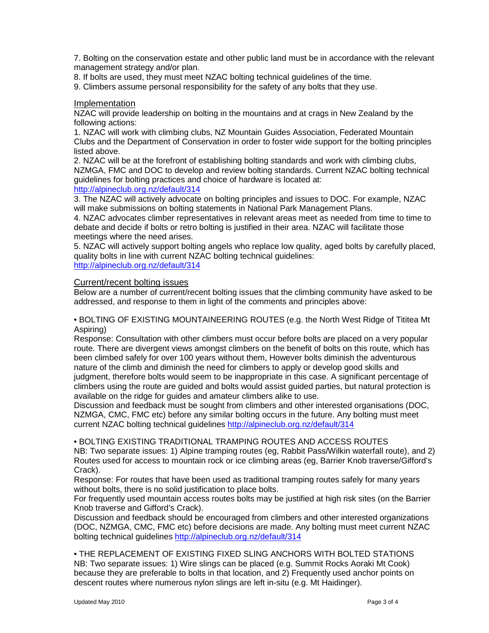7. Bolting on the conservation estate and other public land must be in accordance with the relevant management strategy and/or plan.

8. If bolts are used, they must meet NZAC bolting technical guidelines of the time.

9. Climbers assume personal responsibility for the safety of any bolts that they use.

#### Implementation

NZAC will provide leadership on bolting in the mountains and at crags in New Zealand by the following actions:

1. NZAC will work with climbing clubs, NZ Mountain Guides Association, Federated Mountain Clubs and the Department of Conservation in order to foster wide support for the bolting principles listed above.

2. NZAC will be at the forefront of establishing bolting standards and work with climbing clubs, NZMGA, FMC and DOC to develop and review bolting standards. Current NZAC bolting technical guidelines for bolting practices and choice of hardware is located at:

### http://alpineclub.org.nz/default/314

3. The NZAC will actively advocate on bolting principles and issues to DOC. For example, NZAC will make submissions on bolting statements in National Park Management Plans.

4. NZAC advocates climber representatives in relevant areas meet as needed from time to time to debate and decide if bolts or retro bolting is justified in their area. NZAC will facilitate those meetings where the need arises.

5. NZAC will actively support bolting angels who replace low quality, aged bolts by carefully placed, quality bolts in line with current NZAC bolting technical guidelines: http://alpineclub.org.nz/default/314

### Current/recent bolting issues

Below are a number of current/recent bolting issues that the climbing community have asked to be addressed, and response to them in light of the comments and principles above:

• BOLTING OF EXISTING MOUNTAINEERING ROUTES (e.g. the North West Ridge of Tititea Mt Aspiring)

Response: Consultation with other climbers must occur before bolts are placed on a very popular route. There are divergent views amongst climbers on the benefit of bolts on this route, which has been climbed safely for over 100 years without them, However bolts diminish the adventurous nature of the climb and diminish the need for climbers to apply or develop good skills and judgment, therefore bolts would seem to be inappropriate in this case. A significant percentage of climbers using the route are guided and bolts would assist guided parties, but natural protection is available on the ridge for guides and amateur climbers alike to use.

Discussion and feedback must be sought from climbers and other interested organisations (DOC, NZMGA, CMC, FMC etc) before any similar bolting occurs in the future. Any bolting must meet current NZAC bolting technical guidelines http://alpineclub.org.nz/default/314

#### • BOLTING EXISTING TRADITIONAL TRAMPING ROUTES AND ACCESS ROUTES

NB: Two separate issues: 1) Alpine tramping routes (eg, Rabbit Pass/Wilkin waterfall route), and 2) Routes used for access to mountain rock or ice climbing areas (eg, Barrier Knob traverse/Gifford's Crack).

Response: For routes that have been used as traditional tramping routes safely for many years without bolts, there is no solid justification to place bolts.

For frequently used mountain access routes bolts may be justified at high risk sites (on the Barrier Knob traverse and Gifford's Crack).

Discussion and feedback should be encouraged from climbers and other interested organizations (DOC, NZMGA, CMC, FMC etc) before decisions are made. Any bolting must meet current NZAC bolting technical guidelines http://alpineclub.org.nz/default/314

• THE REPLACEMENT OF EXISTING FIXED SLING ANCHORS WITH BOLTED STATIONS NB: Two separate issues: 1) Wire slings can be placed (e.g. Summit Rocks Aoraki Mt Cook) because they are preferable to bolts in that location, and 2) Frequently used anchor points on descent routes where numerous nylon slings are left in-situ (e.g. Mt Haidinger).